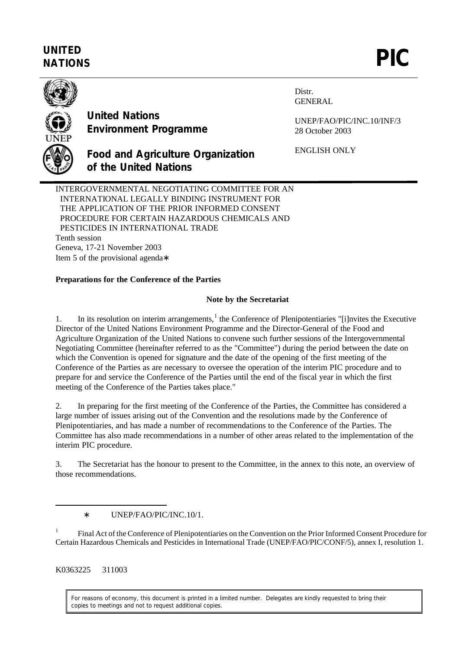## **UNITED** UNITED<br>NATIONS **PIC**



**United Nations Environment Programme**

**of the United Nations**

Distr. GENERAL

UNEP/FAO/PIC/INC.10/INF/3 28 October 2003

ENGLISH ONLY

INTERGOVERNMENTAL NEGOTIATING COMMITTEE FOR AN INTERNATIONAL LEGALLY BINDING INSTRUMENT FOR THE APPLICATION OF THE PRIOR INFORMED CONSENT PROCEDURE FOR CERTAIN HAZARDOUS CHEMICALS AND PESTICIDES IN INTERNATIONAL TRADE Tenth session Geneva, 17-21 November 2003 Item 5 of the provisional agenda∗

**Food and Agriculture Organization**

## **Preparations for the Conference of the Parties**

## **Note by the Secretariat**

1. In its resolution on interim arrangements,<sup>1</sup> the Conference of Plenipotentiaries "[i]nvites the Executive Director of the United Nations Environment Programme and the Director-General of the Food and Agriculture Organization of the United Nations to convene such further sessions of the Intergovernmental Negotiating Committee (hereinafter referred to as the "Committee") during the period between the date on which the Convention is opened for signature and the date of the opening of the first meeting of the Conference of the Parties as are necessary to oversee the operation of the interim PIC procedure and to prepare for and service the Conference of the Parties until the end of the fiscal year in which the first meeting of the Conference of the Parties takes place."

2. In preparing for the first meeting of the Conference of the Parties, the Committee has considered a large number of issues arising out of the Convention and the resolutions made by the Conference of Plenipotentiaries, and has made a number of recommendations to the Conference of the Parties. The Committee has also made recommendations in a number of other areas related to the implementation of the interim PIC procedure.

3. The Secretariat has the honour to present to the Committee, in the annex to this note, an overview of those recommendations.

∗ UNEP/FAO/PIC/INC.10/1.

1 Final Act of the Conference of Plenipotentiaries on the Convention on the Prior Informed Consent Procedure for Certain Hazardous Chemicals and Pesticides in International Trade (UNEP/FAO/PIC/CONF/5), annex I, resolution 1.

K0363225 311003

 $\overline{a}$ 

For reasons of economy, this document is printed in a limited number. Delegates are kindly requested to bring their copies to meetings and not to request additional copies.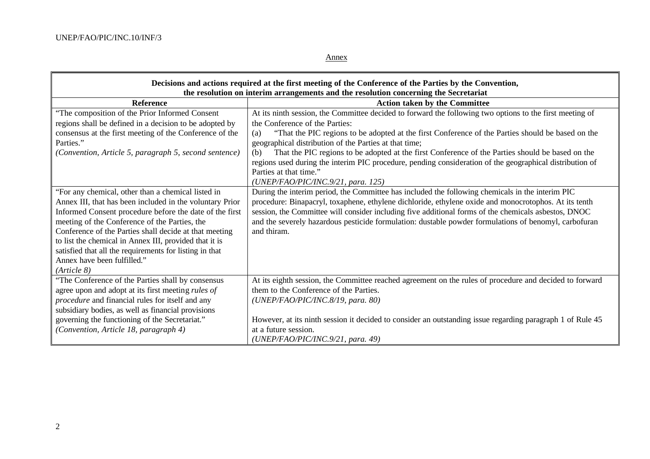$\mathbf{r}$ 

Annex

| Decisions and actions required at the first meeting of the Conference of the Parties by the Convention,<br>the resolution on interim arrangements and the resolution concerning the Secretariat |                                                                                                            |  |
|-------------------------------------------------------------------------------------------------------------------------------------------------------------------------------------------------|------------------------------------------------------------------------------------------------------------|--|
| <b>Reference</b>                                                                                                                                                                                | <b>Action taken by the Committee</b>                                                                       |  |
| "The composition of the Prior Informed Consent                                                                                                                                                  | At its ninth session, the Committee decided to forward the following two options to the first meeting of   |  |
| regions shall be defined in a decision to be adopted by                                                                                                                                         | the Conference of the Parties:                                                                             |  |
| consensus at the first meeting of the Conference of the                                                                                                                                         | "That the PIC regions to be adopted at the first Conference of the Parties should be based on the<br>(a)   |  |
| Parties."                                                                                                                                                                                       | geographical distribution of the Parties at that time;                                                     |  |
| (Convention, Article 5, paragraph 5, second sentence)                                                                                                                                           | That the PIC regions to be adopted at the first Conference of the Parties should be based on the<br>(b)    |  |
|                                                                                                                                                                                                 | regions used during the interim PIC procedure, pending consideration of the geographical distribution of   |  |
|                                                                                                                                                                                                 | Parties at that time."                                                                                     |  |
|                                                                                                                                                                                                 | (UNEP/FAO/PIC/INC.9/21, para. 125)                                                                         |  |
| "For any chemical, other than a chemical listed in                                                                                                                                              | During the interim period, the Committee has included the following chemicals in the interim PIC           |  |
| Annex III, that has been included in the voluntary Prior                                                                                                                                        | procedure: Binapacryl, toxaphene, ethylene dichloride, ethylene oxide and monocrotophos. At its tenth      |  |
| Informed Consent procedure before the date of the first                                                                                                                                         | session, the Committee will consider including five additional forms of the chemicals asbestos, DNOC       |  |
| meeting of the Conference of the Parties, the                                                                                                                                                   | and the severely hazardous pesticide formulation: dustable powder formulations of benomyl, carbofuran      |  |
| Conference of the Parties shall decide at that meeting                                                                                                                                          | and thiram.                                                                                                |  |
| to list the chemical in Annex III, provided that it is                                                                                                                                          |                                                                                                            |  |
| satisfied that all the requirements for listing in that                                                                                                                                         |                                                                                                            |  |
| Annex have been fulfilled."                                                                                                                                                                     |                                                                                                            |  |
| (Ariticle 8)                                                                                                                                                                                    |                                                                                                            |  |
| "The Conference of the Parties shall by consensus                                                                                                                                               | At its eighth session, the Committee reached agreement on the rules of procedure and decided to forward    |  |
| agree upon and adopt at its first meeting rules of                                                                                                                                              | them to the Conference of the Parties.                                                                     |  |
| procedure and financial rules for itself and any                                                                                                                                                | (UNEP/FAO/PIC/INC.8/19, para. 80)                                                                          |  |
| subsidiary bodies, as well as financial provisions                                                                                                                                              |                                                                                                            |  |
| governing the functioning of the Secretariat."                                                                                                                                                  | However, at its ninth session it decided to consider an outstanding issue regarding paragraph 1 of Rule 45 |  |
| (Convention, Article 18, paragraph 4)                                                                                                                                                           | at a future session.                                                                                       |  |
|                                                                                                                                                                                                 | (UNEP/FAO/PIC/INC.9/21, para. 49)                                                                          |  |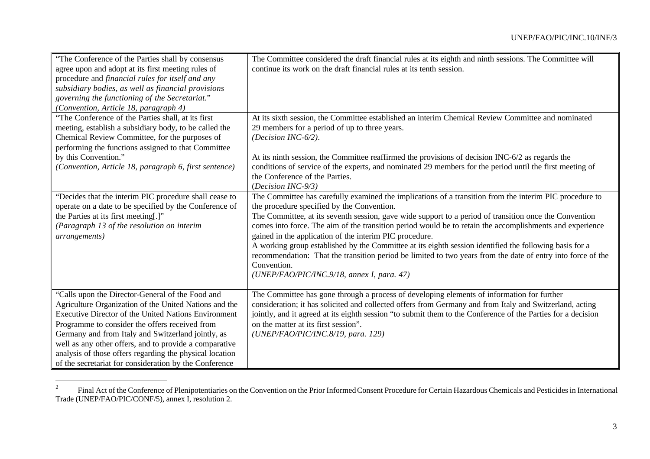| "The Conference of the Parties shall by consensus<br>agree upon and adopt at its first meeting rules of<br>procedure and financial rules for itself and any<br>subsidiary bodies, as well as financial provisions<br>governing the functioning of the Secretariat."<br>(Convention, Article 18, paragraph 4)                                                                                                                                                      | The Committee considered the draft financial rules at its eighth and ninth sessions. The Committee will<br>continue its work on the draft financial rules at its tenth session.                                                                                                                                                                                                                                                                                                                                                                                                                                                                                                                                               |
|-------------------------------------------------------------------------------------------------------------------------------------------------------------------------------------------------------------------------------------------------------------------------------------------------------------------------------------------------------------------------------------------------------------------------------------------------------------------|-------------------------------------------------------------------------------------------------------------------------------------------------------------------------------------------------------------------------------------------------------------------------------------------------------------------------------------------------------------------------------------------------------------------------------------------------------------------------------------------------------------------------------------------------------------------------------------------------------------------------------------------------------------------------------------------------------------------------------|
| "The Conference of the Parties shall, at its first<br>meeting, establish a subsidiary body, to be called the<br>Chemical Review Committee, for the purposes of<br>performing the functions assigned to that Committee<br>by this Convention."<br>(Convention, Article 18, paragraph 6, first sentence)                                                                                                                                                            | At its sixth session, the Committee established an interim Chemical Review Committee and nominated<br>29 members for a period of up to three years.<br>(Decision INC-6/2).<br>At its ninth session, the Committee reaffirmed the provisions of decision INC-6/2 as regards the<br>conditions of service of the experts, and nominated 29 members for the period until the first meeting of<br>the Conference of the Parties.<br>(Decision INC-9/3)                                                                                                                                                                                                                                                                            |
| "Decides that the interim PIC procedure shall cease to<br>operate on a date to be specified by the Conference of<br>the Parties at its first meeting[.]"<br>(Paragraph 13 of the resolution on interim<br>arrangements)                                                                                                                                                                                                                                           | The Committee has carefully examined the implications of a transition from the interim PIC procedure to<br>the procedure specified by the Convention.<br>The Committee, at its seventh session, gave wide support to a period of transition once the Convention<br>comes into force. The aim of the transition period would be to retain the accomplishments and experience<br>gained in the application of the interim PIC procedure.<br>A working group established by the Committee at its eighth session identified the following basis for a<br>recommendation: That the transition period be limited to two years from the date of entry into force of the<br>Convention.<br>(UNEP/FAO/PIC/INC.9/18, annex I, para. 47) |
| "Calls upon the Director-General of the Food and<br>Agriculture Organization of the United Nations and the<br><b>Executive Director of the United Nations Environment</b><br>Programme to consider the offers received from<br>Germany and from Italy and Switzerland jointly, as<br>well as any other offers, and to provide a comparative<br>analysis of those offers regarding the physical location<br>of the secretariat for consideration by the Conference | The Committee has gone through a process of developing elements of information for further<br>consideration; it has solicited and collected offers from Germany and from Italy and Switzerland, acting<br>jointly, and it agreed at its eighth session "to submit them to the Conference of the Parties for a decision<br>on the matter at its first session".<br>(UNEP/FAO/PIC/INC.8/19, para. 129)                                                                                                                                                                                                                                                                                                                          |

 $\frac{1}{2}$ Final Act of the Conference of Plenipotentiaries on the Convention on the Prior Informed Consent Procedure for Certain Hazardous Chemicals and Pesticides in International Trade (UNEP/FAO/PIC/CONF/5), annex I, resolution 2.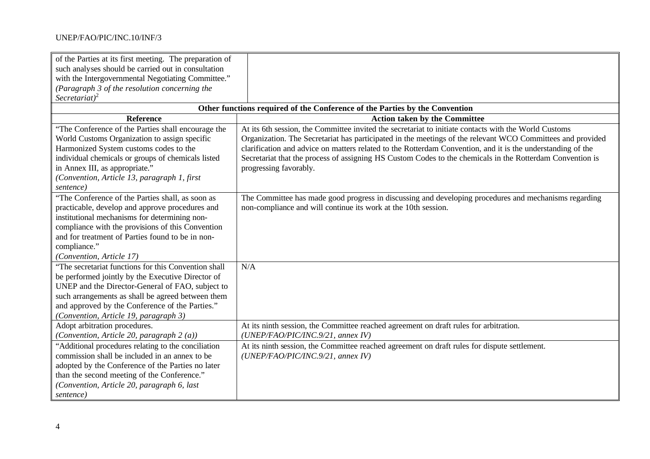## UNEP/FAO/PIC/INC.10/INF/3

| of the Parties at its first meeting. The preparation of<br>such analyses should be carried out in consultation<br>with the Intergovernmental Negotiating Committee."<br>(Paragraph 3 of the resolution concerning the<br>Secretariat) <sup>2</sup>                                                             |                                                                                                                                                                                                                                                                                                                                                                                                                                                                           |  |
|----------------------------------------------------------------------------------------------------------------------------------------------------------------------------------------------------------------------------------------------------------------------------------------------------------------|---------------------------------------------------------------------------------------------------------------------------------------------------------------------------------------------------------------------------------------------------------------------------------------------------------------------------------------------------------------------------------------------------------------------------------------------------------------------------|--|
| Other functions required of the Conference of the Parties by the Convention                                                                                                                                                                                                                                    |                                                                                                                                                                                                                                                                                                                                                                                                                                                                           |  |
| <b>Reference</b>                                                                                                                                                                                                                                                                                               | <b>Action taken by the Committee</b>                                                                                                                                                                                                                                                                                                                                                                                                                                      |  |
| "The Conference of the Parties shall encourage the<br>World Customs Organization to assign specific<br>Harmonized System customs codes to the<br>individual chemicals or groups of chemicals listed<br>in Annex III, as appropriate."<br>(Convention, Article 13, paragraph 1, first<br>sentence)              | At its 6th session, the Committee invited the secretariat to initiate contacts with the World Customs<br>Organization. The Secretariat has participated in the meetings of the relevant WCO Committees and provided<br>clarification and advice on matters related to the Rotterdam Convention, and it is the understanding of the<br>Secretariat that the process of assigning HS Custom Codes to the chemicals in the Rotterdam Convention is<br>progressing favorably. |  |
| "The Conference of the Parties shall, as soon as<br>practicable, develop and approve procedures and<br>institutional mechanisms for determining non-<br>compliance with the provisions of this Convention<br>and for treatment of Parties found to be in non-<br>compliance."<br>(Convention, Article 17)      | The Committee has made good progress in discussing and developing procedures and mechanisms regarding<br>non-compliance and will continue its work at the 10th session.                                                                                                                                                                                                                                                                                                   |  |
| "The secretariat functions for this Convention shall<br>be performed jointly by the Executive Director of<br>UNEP and the Director-General of FAO, subject to<br>such arrangements as shall be agreed between them<br>and approved by the Conference of the Parties."<br>(Convention, Article 19, paragraph 3) | N/A                                                                                                                                                                                                                                                                                                                                                                                                                                                                       |  |
| Adopt arbitration procedures.<br>(Convention, Article 20, paragraph 2 (a))                                                                                                                                                                                                                                     | At its ninth session, the Committee reached agreement on draft rules for arbitration.<br>(UNEP/FAO/PIC/INC.9/21, annex IV)                                                                                                                                                                                                                                                                                                                                                |  |
| "Additional procedures relating to the conciliation<br>commission shall be included in an annex to be<br>adopted by the Conference of the Parties no later<br>than the second meeting of the Conference."<br>(Convention, Article 20, paragraph 6, last<br>sentence)                                           | At its ninth session, the Committee reached agreement on draft rules for dispute settlement.<br>(UNEP/FAO/PIC/INC.9/21, annex IV)                                                                                                                                                                                                                                                                                                                                         |  |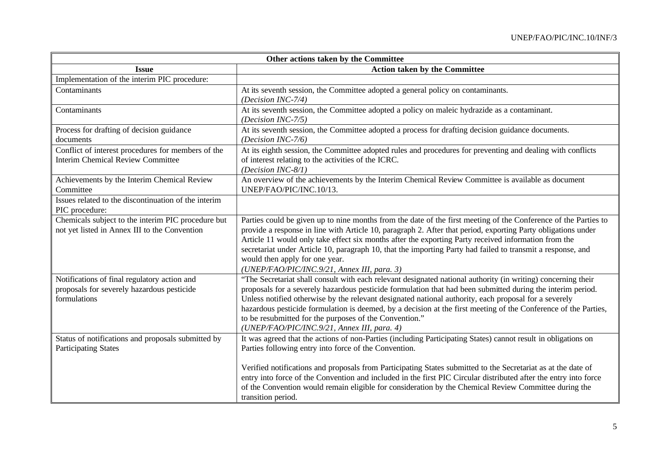| Other actions taken by the Committee                                                                                                                                                                                                                                                                                                                                                                                                                                                                                                                              |
|-------------------------------------------------------------------------------------------------------------------------------------------------------------------------------------------------------------------------------------------------------------------------------------------------------------------------------------------------------------------------------------------------------------------------------------------------------------------------------------------------------------------------------------------------------------------|
| <b>Action taken by the Committee</b>                                                                                                                                                                                                                                                                                                                                                                                                                                                                                                                              |
|                                                                                                                                                                                                                                                                                                                                                                                                                                                                                                                                                                   |
| At its seventh session, the Committee adopted a general policy on contaminants.<br>(Decision INC-7/4)                                                                                                                                                                                                                                                                                                                                                                                                                                                             |
| At its seventh session, the Committee adopted a policy on maleic hydrazide as a contaminant.<br>(Decision INC-7/5)                                                                                                                                                                                                                                                                                                                                                                                                                                                |
| At its seventh session, the Committee adopted a process for drafting decision guidance documents.<br>(Decision INC-7/6)                                                                                                                                                                                                                                                                                                                                                                                                                                           |
| At its eighth session, the Committee adopted rules and procedures for preventing and dealing with conflicts<br>of interest relating to the activities of the ICRC.<br>(Decision INC-8/1)                                                                                                                                                                                                                                                                                                                                                                          |
| An overview of the achievements by the Interim Chemical Review Committee is available as document<br>UNEP/FAO/PIC/INC.10/13.                                                                                                                                                                                                                                                                                                                                                                                                                                      |
|                                                                                                                                                                                                                                                                                                                                                                                                                                                                                                                                                                   |
| Parties could be given up to nine months from the date of the first meeting of the Conference of the Parties to<br>provide a response in line with Article 10, paragraph 2. After that period, exporting Party obligations under<br>Article 11 would only take effect six months after the exporting Party received information from the<br>secretariat under Article 10, paragraph 10, that the importing Party had failed to transmit a response, and<br>would then apply for one year.<br>(UNEP/FAO/PIC/INC.9/21, Annex III, para. 3)                          |
| "The Secretariat shall consult with each relevant designated national authority (in writing) concerning their<br>proposals for a severely hazardous pesticide formulation that had been submitted during the interim period.<br>Unless notified otherwise by the relevant designated national authority, each proposal for a severely<br>hazardous pesticide formulation is deemed, by a decision at the first meeting of the Conference of the Parties,<br>to be resubmitted for the purposes of the Convention."<br>(UNEP/FAO/PIC/INC.9/21, Annex III, para. 4) |
| It was agreed that the actions of non-Parties (including Participating States) cannot result in obligations on<br>Parties following entry into force of the Convention.<br>Verified notifications and proposals from Participating States submitted to the Secretariat as at the date of<br>entry into force of the Convention and included in the first PIC Circular distributed after the entry into force<br>of the Convention would remain eligible for consideration by the Chemical Review Committee during the<br>transition period.                       |
|                                                                                                                                                                                                                                                                                                                                                                                                                                                                                                                                                                   |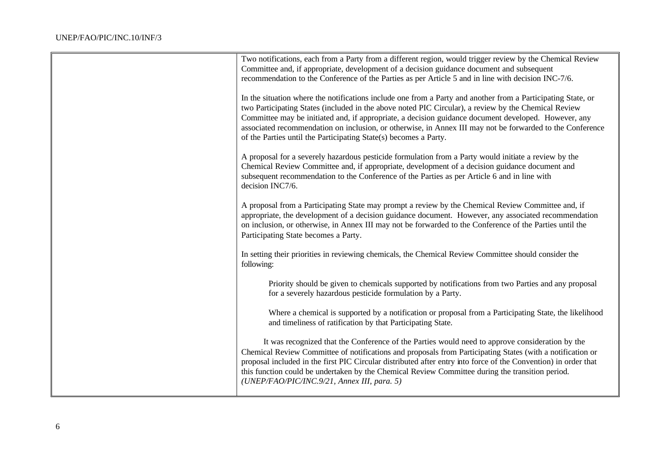| Two notifications, each from a Party from a different region, would trigger review by the Chemical Review<br>Committee and, if appropriate, development of a decision guidance document and subsequent<br>recommendation to the Conference of the Parties as per Article 5 and in line with decision INC-7/6.                                                                                                                                                                                                 |
|---------------------------------------------------------------------------------------------------------------------------------------------------------------------------------------------------------------------------------------------------------------------------------------------------------------------------------------------------------------------------------------------------------------------------------------------------------------------------------------------------------------|
| In the situation where the notifications include one from a Party and another from a Participating State, or<br>two Participating States (included in the above noted PIC Circular), a review by the Chemical Review<br>Committee may be initiated and, if appropriate, a decision guidance document developed. However, any<br>associated recommendation on inclusion, or otherwise, in Annex III may not be forwarded to the Conference<br>of the Parties until the Participating State(s) becomes a Party. |
| A proposal for a severely hazardous pesticide formulation from a Party would initiate a review by the<br>Chemical Review Committee and, if appropriate, development of a decision guidance document and<br>subsequent recommendation to the Conference of the Parties as per Article 6 and in line with<br>decision INC7/6.                                                                                                                                                                                   |
| A proposal from a Participating State may prompt a review by the Chemical Review Committee and, if<br>appropriate, the development of a decision guidance document. However, any associated recommendation<br>on inclusion, or otherwise, in Annex III may not be forwarded to the Conference of the Parties until the<br>Participating State becomes a Party.                                                                                                                                                |
| In setting their priorities in reviewing chemicals, the Chemical Review Committee should consider the<br>following:                                                                                                                                                                                                                                                                                                                                                                                           |
| Priority should be given to chemicals supported by notifications from two Parties and any proposal<br>for a severely hazardous pesticide formulation by a Party.                                                                                                                                                                                                                                                                                                                                              |
| Where a chemical is supported by a notification or proposal from a Participating State, the likelihood<br>and timeliness of ratification by that Participating State.                                                                                                                                                                                                                                                                                                                                         |
| It was recognized that the Conference of the Parties would need to approve consideration by the<br>Chemical Review Committee of notifications and proposals from Participating States (with a notification or<br>proposal included in the first PIC Circular distributed after entry into force of the Convention) in order that<br>this function could be undertaken by the Chemical Review Committee during the transition period.<br>(UNEP/FAO/PIC/INC.9/21, Annex III, para. 5)                           |
|                                                                                                                                                                                                                                                                                                                                                                                                                                                                                                               |